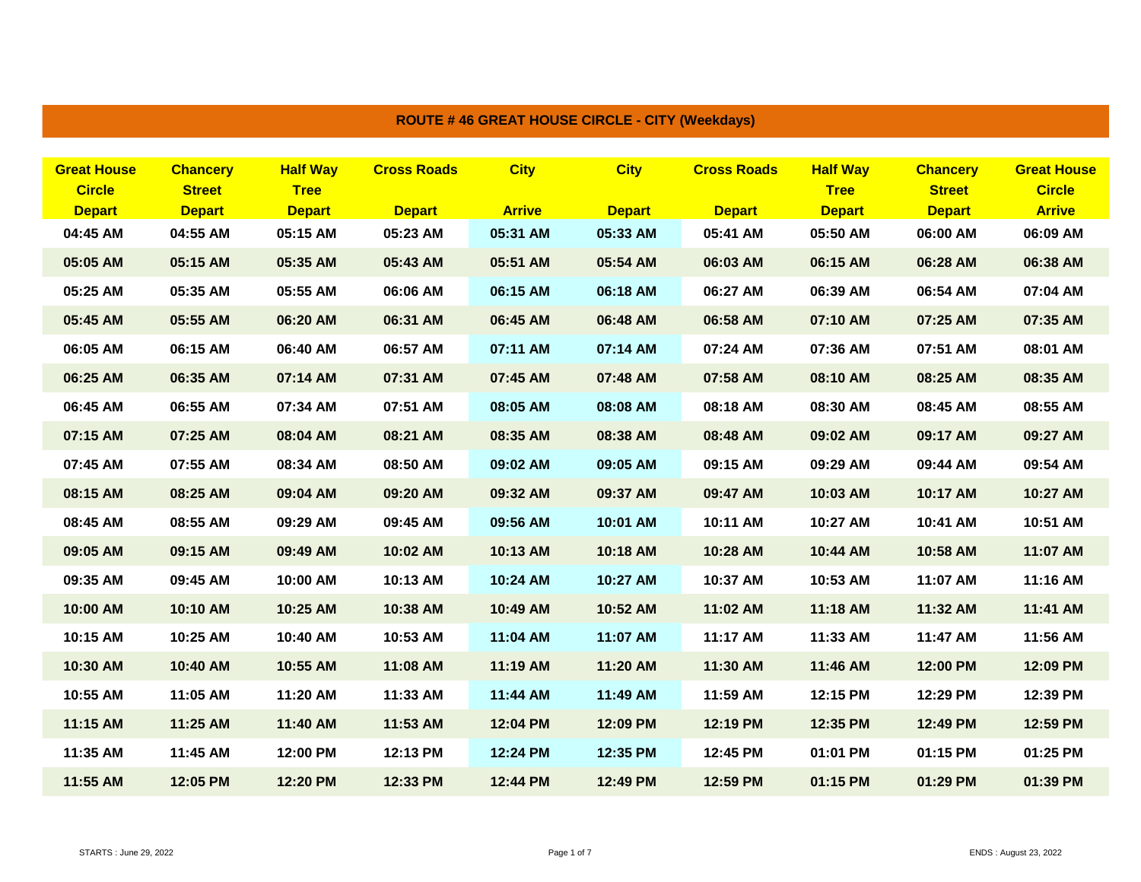| <b>Great House</b> | <b>Chancery</b> | <b>Half Way</b> | <b>Cross Roads</b> | <b>City</b>   | <b>City</b>   | <b>Cross Roads</b> | <b>Half Way</b> | <b>Chancery</b> | <b>Great House</b> |
|--------------------|-----------------|-----------------|--------------------|---------------|---------------|--------------------|-----------------|-----------------|--------------------|
| <b>Circle</b>      | <b>Street</b>   | <b>Tree</b>     |                    |               |               |                    | <b>Tree</b>     | <b>Street</b>   | <b>Circle</b>      |
| <b>Depart</b>      | <b>Depart</b>   | <b>Depart</b>   | <b>Depart</b>      | <b>Arrive</b> | <b>Depart</b> | <b>Depart</b>      | <b>Depart</b>   | <b>Depart</b>   | <b>Arrive</b>      |
| 04:45 AM           | 04:55 AM        | 05:15 AM        | 05:23 AM           | 05:31 AM      | 05:33 AM      | 05:41 AM           | 05:50 AM        | 06:00 AM        | 06:09 AM           |
| 05:05 AM           | 05:15 AM        | 05:35 AM        | 05:43 AM           | 05:51 AM      | 05:54 AM      | 06:03 AM           | 06:15 AM        | 06:28 AM        | 06:38 AM           |
| 05:25 AM           | 05:35 AM        | 05:55 AM        | 06:06 AM           | 06:15 AM      | 06:18 AM      | 06:27 AM           | 06:39 AM        | 06:54 AM        | 07:04 AM           |
| 05:45 AM           | 05:55 AM        | 06:20 AM        | 06:31 AM           | 06:45 AM      | 06:48 AM      | 06:58 AM           | 07:10 AM        | 07:25 AM        | 07:35 AM           |
| 06:05 AM           | 06:15 AM        | 06:40 AM        | 06:57 AM           | 07:11 AM      | 07:14 AM      | 07:24 AM           | 07:36 AM        | 07:51 AM        | 08:01 AM           |
| 06:25 AM           | 06:35 AM        | 07:14 AM        | 07:31 AM           | 07:45 AM      | 07:48 AM      | 07:58 AM           | 08:10 AM        | 08:25 AM        | 08:35 AM           |
| 06:45 AM           | 06:55 AM        | 07:34 AM        | 07:51 AM           | 08:05 AM      | 08:08 AM      | 08:18 AM           | 08:30 AM        | 08:45 AM        | 08:55 AM           |
| 07:15 AM           | 07:25 AM        | 08:04 AM        | 08:21 AM           | 08:35 AM      | 08:38 AM      | 08:48 AM           | 09:02 AM        | 09:17 AM        | 09:27 AM           |
| 07:45 AM           | 07:55 AM        | 08:34 AM        | 08:50 AM           | 09:02 AM      | 09:05 AM      | 09:15 AM           | 09:29 AM        | 09:44 AM        | 09:54 AM           |
| 08:15 AM           | 08:25 AM        | 09:04 AM        | 09:20 AM           | 09:32 AM      | 09:37 AM      | 09:47 AM           | 10:03 AM        | 10:17 AM        | 10:27 AM           |
| 08:45 AM           | 08:55 AM        | 09:29 AM        | 09:45 AM           | 09:56 AM      | 10:01 AM      | 10:11 AM           | 10:27 AM        | 10:41 AM        | 10:51 AM           |
| 09:05 AM           | 09:15 AM        | 09:49 AM        | 10:02 AM           | 10:13 AM      | 10:18 AM      | 10:28 AM           | 10:44 AM        | 10:58 AM        | 11:07 AM           |
| 09:35 AM           | 09:45 AM        | 10:00 AM        | 10:13 AM           | 10:24 AM      | 10:27 AM      | 10:37 AM           | 10:53 AM        | 11:07 AM        | 11:16 AM           |
| 10:00 AM           | 10:10 AM        | 10:25 AM        | 10:38 AM           | 10:49 AM      | 10:52 AM      | 11:02 AM           | 11:18 AM        | 11:32 AM        | 11:41 AM           |
| 10:15 AM           | 10:25 AM        | 10:40 AM        | 10:53 AM           | 11:04 AM      | 11:07 AM      | 11:17 AM           | 11:33 AM        | 11:47 AM        | 11:56 AM           |
| 10:30 AM           | 10:40 AM        | 10:55 AM        | 11:08 AM           | 11:19 AM      | 11:20 AM      | 11:30 AM           | 11:46 AM        | 12:00 PM        | 12:09 PM           |
| 10:55 AM           | 11:05 AM        | 11:20 AM        | 11:33 AM           | 11:44 AM      | 11:49 AM      | 11:59 AM           | 12:15 PM        | 12:29 PM        | 12:39 PM           |
| 11:15 AM           | 11:25 AM        | 11:40 AM        | 11:53 AM           | 12:04 PM      | 12:09 PM      | 12:19 PM           | 12:35 PM        | 12:49 PM        | 12:59 PM           |
| 11:35 AM           | 11:45 AM        | 12:00 PM        | 12:13 PM           | 12:24 PM      | 12:35 PM      | 12:45 PM           | 01:01 PM        | 01:15 PM        | 01:25 PM           |
| 11:55 AM           | 12:05 PM        | 12:20 PM        | 12:33 PM           | 12:44 PM      | 12:49 PM      | 12:59 PM           | 01:15 PM        | 01:29 PM        | 01:39 PM           |

## **ROUTE # 46 GREAT HOUSE CIRCLE - CITY (Weekdays)**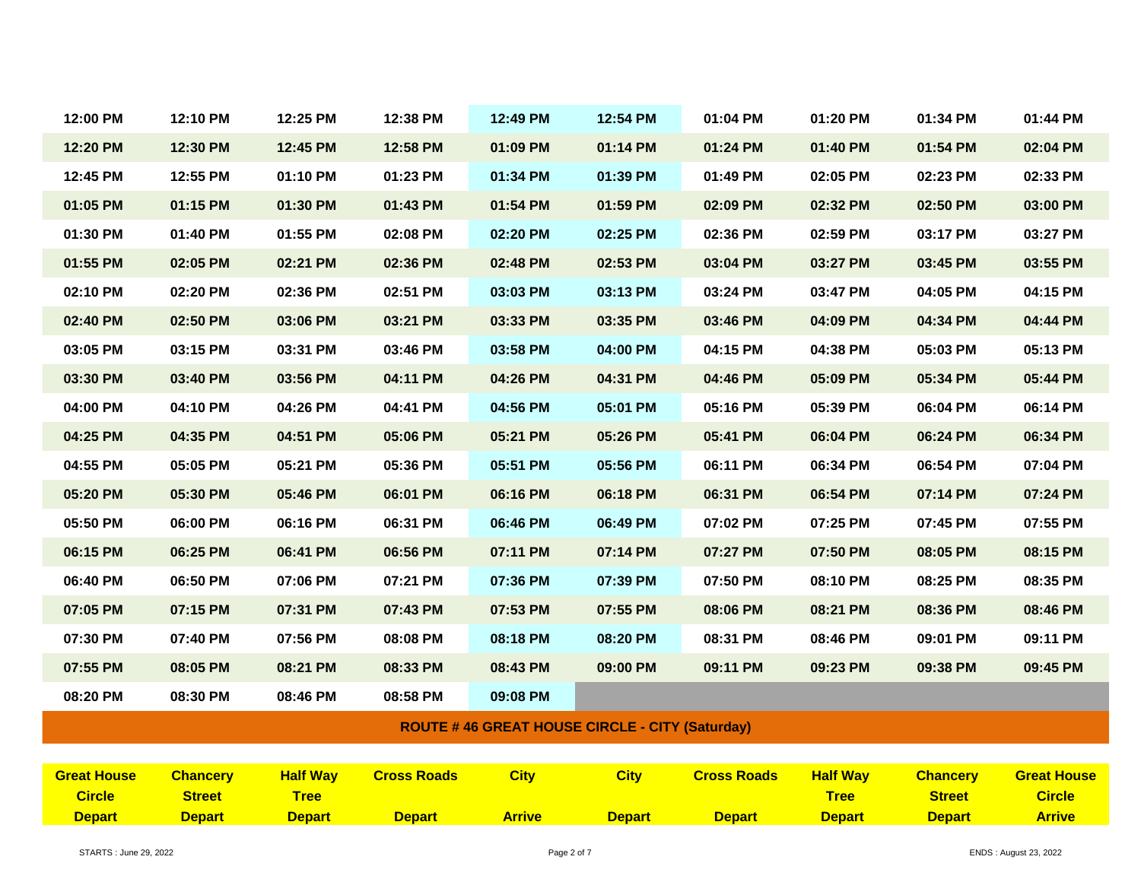| 12:00 PM           | 12:10 PM        | 12:25 PM        | 12:38 PM           | 12:49 PM      | 12:54 PM                                              | 01:04 PM           | 01:20 PM        | 01:34 PM        | 01:44 PM           |
|--------------------|-----------------|-----------------|--------------------|---------------|-------------------------------------------------------|--------------------|-----------------|-----------------|--------------------|
| 12:20 PM           | 12:30 PM        | 12:45 PM        | 12:58 PM           | 01:09 PM      | 01:14 PM                                              | 01:24 PM           | 01:40 PM        | 01:54 PM        | 02:04 PM           |
| 12:45 PM           | 12:55 PM        | 01:10 PM        | 01:23 PM           | 01:34 PM      | 01:39 PM                                              | 01:49 PM           | 02:05 PM        | 02:23 PM        | 02:33 PM           |
| 01:05 PM           | 01:15 PM        | 01:30 PM        | 01:43 PM           | 01:54 PM      | 01:59 PM                                              | 02:09 PM           | 02:32 PM        | 02:50 PM        | 03:00 PM           |
| 01:30 PM           | 01:40 PM        | 01:55 PM        | 02:08 PM           | 02:20 PM      | 02:25 PM                                              | 02:36 PM           | 02:59 PM        | 03:17 PM        | 03:27 PM           |
| 01:55 PM           | 02:05 PM        | 02:21 PM        | 02:36 PM           | 02:48 PM      | 02:53 PM                                              | 03:04 PM           | 03:27 PM        | 03:45 PM        | 03:55 PM           |
| 02:10 PM           | 02:20 PM        | 02:36 PM        | 02:51 PM           | 03:03 PM      | 03:13 PM                                              | 03:24 PM           | 03:47 PM        | 04:05 PM        | 04:15 PM           |
| 02:40 PM           | 02:50 PM        | 03:06 PM        | 03:21 PM           | 03:33 PM      | 03:35 PM                                              | 03:46 PM           | 04:09 PM        | 04:34 PM        | 04:44 PM           |
| 03:05 PM           | 03:15 PM        | 03:31 PM        | 03:46 PM           | 03:58 PM      | 04:00 PM                                              | 04:15 PM           | 04:38 PM        | 05:03 PM        | 05:13 PM           |
| 03:30 PM           | 03:40 PM        | 03:56 PM        | 04:11 PM           | 04:26 PM      | 04:31 PM                                              | 04:46 PM           | 05:09 PM        | 05:34 PM        | 05:44 PM           |
| 04:00 PM           | 04:10 PM        | 04:26 PM        | 04:41 PM           | 04:56 PM      | 05:01 PM                                              | 05:16 PM           | 05:39 PM        | 06:04 PM        | 06:14 PM           |
| 04:25 PM           | 04:35 PM        | 04:51 PM        | 05:06 PM           | 05:21 PM      | 05:26 PM                                              | 05:41 PM           | 06:04 PM        | 06:24 PM        | 06:34 PM           |
| 04:55 PM           | 05:05 PM        | 05:21 PM        | 05:36 PM           | 05:51 PM      | 05:56 PM                                              | 06:11 PM           | 06:34 PM        | 06:54 PM        | 07:04 PM           |
| 05:20 PM           | 05:30 PM        | 05:46 PM        | 06:01 PM           | 06:16 PM      | 06:18 PM                                              | 06:31 PM           | 06:54 PM        | 07:14 PM        | 07:24 PM           |
| 05:50 PM           | 06:00 PM        | 06:16 PM        | 06:31 PM           | 06:46 PM      | 06:49 PM                                              | 07:02 PM           | 07:25 PM        | 07:45 PM        | 07:55 PM           |
| 06:15 PM           | 06:25 PM        | 06:41 PM        | 06:56 PM           | 07:11 PM      | 07:14 PM                                              | 07:27 PM           | 07:50 PM        | 08:05 PM        | 08:15 PM           |
| 06:40 PM           | 06:50 PM        | 07:06 PM        | 07:21 PM           | 07:36 PM      | 07:39 PM                                              | 07:50 PM           | 08:10 PM        | 08:25 PM        | 08:35 PM           |
| 07:05 PM           | 07:15 PM        | 07:31 PM        | 07:43 PM           | 07:53 PM      | 07:55 PM                                              | 08:06 PM           | 08:21 PM        | 08:36 PM        | 08:46 PM           |
| 07:30 PM           | 07:40 PM        | 07:56 PM        | 08:08 PM           | 08:18 PM      | 08:20 PM                                              | 08:31 PM           | 08:46 PM        | 09:01 PM        | 09:11 PM           |
| 07:55 PM           | 08:05 PM        | 08:21 PM        | 08:33 PM           | 08:43 PM      | 09:00 PM                                              | 09:11 PM           | 09:23 PM        | 09:38 PM        | 09:45 PM           |
| 08:20 PM           | 08:30 PM        | 08:46 PM        | 08:58 PM           | 09:08 PM      |                                                       |                    |                 |                 |                    |
|                    |                 |                 |                    |               | <b>ROUTE #46 GREAT HOUSE CIRCLE - CITY (Saturday)</b> |                    |                 |                 |                    |
|                    |                 |                 |                    |               |                                                       |                    |                 |                 |                    |
| <b>Great House</b> | <b>Chancery</b> | <b>Half Way</b> | <b>Cross Roads</b> | <b>City</b>   | <b>City</b>                                           | <b>Cross Roads</b> | <b>Half Way</b> | <b>Chancery</b> | <b>Great House</b> |
| <b>Circle</b>      | <b>Street</b>   | <b>Tree</b>     |                    |               |                                                       |                    | <b>Tree</b>     | <b>Street</b>   | <b>Circle</b>      |
| <b>Depart</b>      | <b>Depart</b>   | <b>Depart</b>   | <b>Depart</b>      | <b>Arrive</b> | <b>Depart</b>                                         | <b>Depart</b>      | <b>Depart</b>   | <b>Depart</b>   | <b>Arrive</b>      |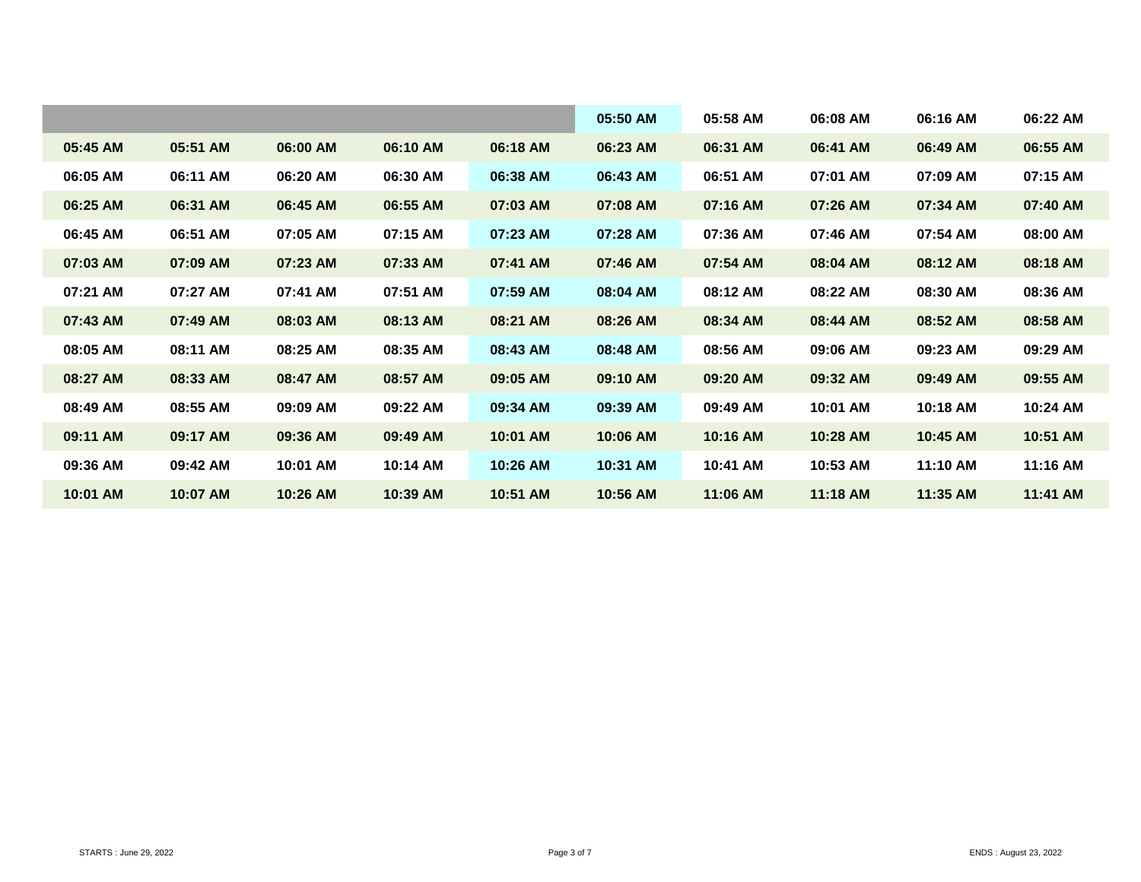|          |          |          |          |          | 05:50 AM | 05:58 AM | 06:08 AM | 06:16 AM | 06:22 AM |
|----------|----------|----------|----------|----------|----------|----------|----------|----------|----------|
| 05:45 AM | 05:51 AM | 06:00 AM | 06:10 AM | 06:18 AM | 06:23 AM | 06:31 AM | 06:41 AM | 06:49 AM | 06:55 AM |
| 06:05 AM | 06:11 AM | 06:20 AM | 06:30 AM | 06:38 AM | 06:43 AM | 06:51 AM | 07:01 AM | 07:09 AM | 07:15 AM |
| 06:25 AM | 06:31 AM | 06:45 AM | 06:55 AM | 07:03 AM | 07:08 AM | 07:16 AM | 07:26 AM | 07:34 AM | 07:40 AM |
| 06:45 AM | 06:51 AM | 07:05 AM | 07:15 AM | 07:23 AM | 07:28 AM | 07:36 AM | 07:46 AM | 07:54 AM | 08:00 AM |
| 07:03 AM | 07:09 AM | 07:23 AM | 07:33 AM | 07:41 AM | 07:46 AM | 07:54 AM | 08:04 AM | 08:12 AM | 08:18 AM |
| 07:21 AM | 07:27 AM | 07:41 AM | 07:51 AM | 07:59 AM | 08:04 AM | 08:12 AM | 08:22 AM | 08:30 AM | 08:36 AM |
| 07:43 AM | 07:49 AM | 08:03 AM | 08:13 AM | 08:21 AM | 08:26 AM | 08:34 AM | 08:44 AM | 08:52 AM | 08:58 AM |
| 08:05 AM | 08:11 AM | 08:25 AM | 08:35 AM | 08:43 AM | 08:48 AM | 08:56 AM | 09:06 AM | 09:23 AM | 09:29 AM |
| 08:27 AM | 08:33 AM | 08:47 AM | 08:57 AM | 09:05 AM | 09:10 AM | 09:20 AM | 09:32 AM | 09:49 AM | 09:55 AM |
| 08:49 AM | 08:55 AM | 09:09 AM | 09:22 AM | 09:34 AM | 09:39 AM | 09:49 AM | 10:01 AM | 10:18 AM | 10:24 AM |
| 09:11 AM | 09:17 AM | 09:36 AM | 09:49 AM | 10:01 AM | 10:06 AM | 10:16 AM | 10:28 AM | 10:45 AM | 10:51 AM |
| 09:36 AM | 09:42 AM | 10:01 AM | 10:14 AM | 10:26 AM | 10:31 AM | 10:41 AM | 10:53 AM | 11:10 AM | 11:16 AM |
| 10:01 AM | 10:07 AM | 10:26 AM | 10:39 AM | 10:51 AM | 10:56 AM | 11:06 AM | 11:18 AM | 11:35 AM | 11:41 AM |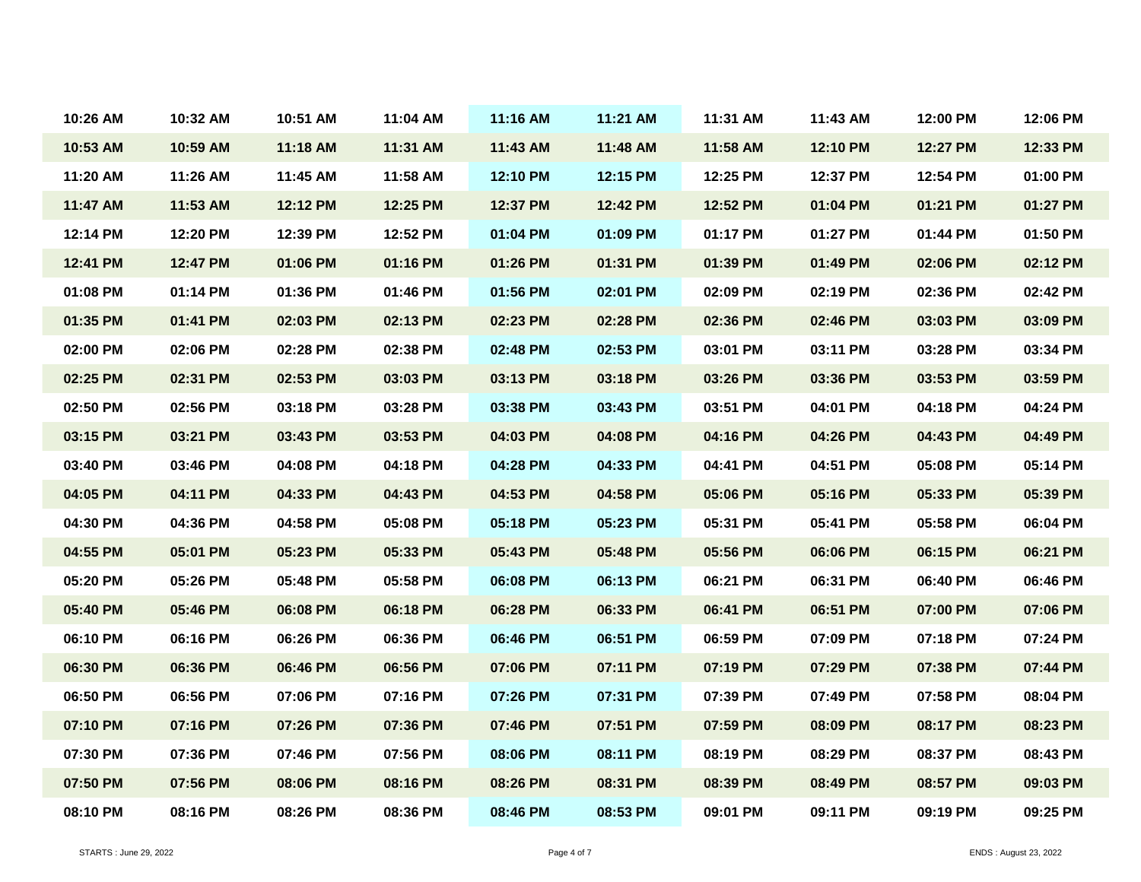| 10:26 AM | 10:32 AM | 10:51 AM | 11:04 AM | 11:16 AM | 11:21 AM | 11:31 AM | 11:43 AM | 12:00 PM | 12:06 PM |
|----------|----------|----------|----------|----------|----------|----------|----------|----------|----------|
| 10:53 AM | 10:59 AM | 11:18 AM | 11:31 AM | 11:43 AM | 11:48 AM | 11:58 AM | 12:10 PM | 12:27 PM | 12:33 PM |
| 11:20 AM | 11:26 AM | 11:45 AM | 11:58 AM | 12:10 PM | 12:15 PM | 12:25 PM | 12:37 PM | 12:54 PM | 01:00 PM |
| 11:47 AM | 11:53 AM | 12:12 PM | 12:25 PM | 12:37 PM | 12:42 PM | 12:52 PM | 01:04 PM | 01:21 PM | 01:27 PM |
| 12:14 PM | 12:20 PM | 12:39 PM | 12:52 PM | 01:04 PM | 01:09 PM | 01:17 PM | 01:27 PM | 01:44 PM | 01:50 PM |
| 12:41 PM | 12:47 PM | 01:06 PM | 01:16 PM | 01:26 PM | 01:31 PM | 01:39 PM | 01:49 PM | 02:06 PM | 02:12 PM |
| 01:08 PM | 01:14 PM | 01:36 PM | 01:46 PM | 01:56 PM | 02:01 PM | 02:09 PM | 02:19 PM | 02:36 PM | 02:42 PM |
| 01:35 PM | 01:41 PM | 02:03 PM | 02:13 PM | 02:23 PM | 02:28 PM | 02:36 PM | 02:46 PM | 03:03 PM | 03:09 PM |
| 02:00 PM | 02:06 PM | 02:28 PM | 02:38 PM | 02:48 PM | 02:53 PM | 03:01 PM | 03:11 PM | 03:28 PM | 03:34 PM |
| 02:25 PM | 02:31 PM | 02:53 PM | 03:03 PM | 03:13 PM | 03:18 PM | 03:26 PM | 03:36 PM | 03:53 PM | 03:59 PM |
| 02:50 PM | 02:56 PM | 03:18 PM | 03:28 PM | 03:38 PM | 03:43 PM | 03:51 PM | 04:01 PM | 04:18 PM | 04:24 PM |
| 03:15 PM | 03:21 PM | 03:43 PM | 03:53 PM | 04:03 PM | 04:08 PM | 04:16 PM | 04:26 PM | 04:43 PM | 04:49 PM |
| 03:40 PM | 03:46 PM | 04:08 PM | 04:18 PM | 04:28 PM | 04:33 PM | 04:41 PM | 04:51 PM | 05:08 PM | 05:14 PM |
| 04:05 PM | 04:11 PM | 04:33 PM | 04:43 PM | 04:53 PM | 04:58 PM | 05:06 PM | 05:16 PM | 05:33 PM | 05:39 PM |
| 04:30 PM | 04:36 PM | 04:58 PM | 05:08 PM | 05:18 PM | 05:23 PM | 05:31 PM | 05:41 PM | 05:58 PM | 06:04 PM |
| 04:55 PM | 05:01 PM | 05:23 PM | 05:33 PM | 05:43 PM | 05:48 PM | 05:56 PM | 06:06 PM | 06:15 PM | 06:21 PM |
| 05:20 PM | 05:26 PM | 05:48 PM | 05:58 PM | 06:08 PM | 06:13 PM | 06:21 PM | 06:31 PM | 06:40 PM | 06:46 PM |
| 05:40 PM | 05:46 PM | 06:08 PM | 06:18 PM | 06:28 PM | 06:33 PM | 06:41 PM | 06:51 PM | 07:00 PM | 07:06 PM |
| 06:10 PM | 06:16 PM | 06:26 PM | 06:36 PM | 06:46 PM | 06:51 PM | 06:59 PM | 07:09 PM | 07:18 PM | 07:24 PM |
| 06:30 PM | 06:36 PM | 06:46 PM | 06:56 PM | 07:06 PM | 07:11 PM | 07:19 PM | 07:29 PM | 07:38 PM | 07:44 PM |
| 06:50 PM | 06:56 PM | 07:06 PM | 07:16 PM | 07:26 PM | 07:31 PM | 07:39 PM | 07:49 PM | 07:58 PM | 08:04 PM |
| 07:10 PM | 07:16 PM | 07:26 PM | 07:36 PM | 07:46 PM | 07:51 PM | 07:59 PM | 08:09 PM | 08:17 PM | 08:23 PM |
| 07:30 PM | 07:36 PM | 07:46 PM | 07:56 PM | 08:06 PM | 08:11 PM | 08:19 PM | 08:29 PM | 08:37 PM | 08:43 PM |
| 07:50 PM | 07:56 PM | 08:06 PM | 08:16 PM | 08:26 PM | 08:31 PM | 08:39 PM | 08:49 PM | 08:57 PM | 09:03 PM |
| 08:10 PM | 08:16 PM | 08:26 PM | 08:36 PM | 08:46 PM | 08:53 PM | 09:01 PM | 09:11 PM | 09:19 PM | 09:25 PM |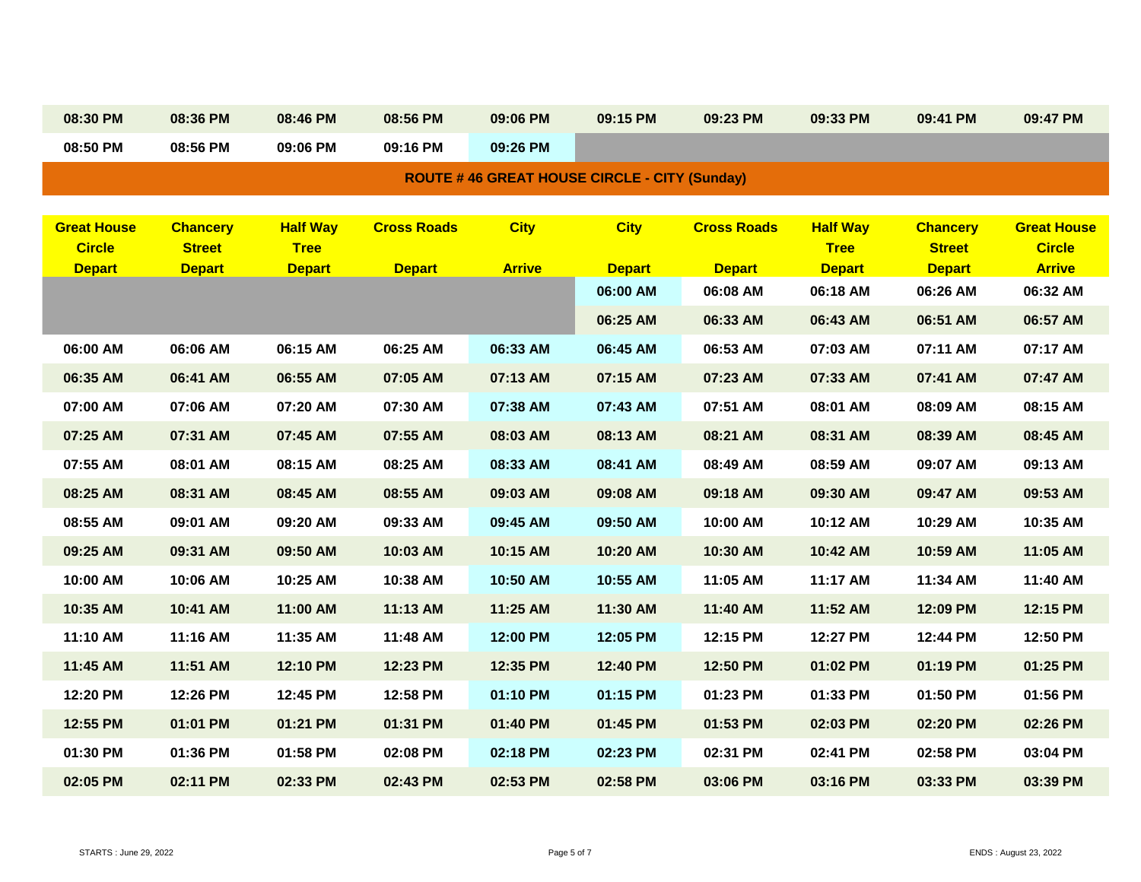|                                                     | 08:30 PM                       | 08:36 PM                       | 08:46 PM                     | 08:56 PM           | 09:06 PM      | 09:15 PM      | 09:23 PM           | 09:33 PM                     | 09:41 PM                       | 09:47 PM                       |  |  |
|-----------------------------------------------------|--------------------------------|--------------------------------|------------------------------|--------------------|---------------|---------------|--------------------|------------------------------|--------------------------------|--------------------------------|--|--|
|                                                     | 08:50 PM                       | 08:56 PM                       | 09:06 PM                     | 09:16 PM           | 09:26 PM      |               |                    |                              |                                |                                |  |  |
| <b>ROUTE #46 GREAT HOUSE CIRCLE - CITY (Sunday)</b> |                                |                                |                              |                    |               |               |                    |                              |                                |                                |  |  |
|                                                     |                                |                                |                              |                    |               |               |                    |                              |                                |                                |  |  |
|                                                     | <b>Great House</b>             | <b>Chancery</b>                | <b>Half Way</b>              | <b>Cross Roads</b> | <b>City</b>   | <b>City</b>   | <b>Cross Roads</b> | <b>Half Way</b>              | <b>Chancery</b>                | <b>Great House</b>             |  |  |
|                                                     | <b>Circle</b><br><b>Depart</b> | <b>Street</b><br><b>Depart</b> | <b>Tree</b><br><b>Depart</b> | <b>Depart</b>      | <b>Arrive</b> | <b>Depart</b> | <b>Depart</b>      | <b>Tree</b><br><b>Depart</b> | <b>Street</b><br><b>Depart</b> | <b>Circle</b><br><b>Arrive</b> |  |  |
|                                                     |                                |                                |                              |                    |               | 06:00 AM      | 06:08 AM           | 06:18 AM                     | 06:26 AM                       | 06:32 AM                       |  |  |
|                                                     |                                |                                |                              |                    |               | 06:25 AM      | 06:33 AM           | 06:43 AM                     | 06:51 AM                       | 06:57 AM                       |  |  |
|                                                     | 06:00 AM                       | 06:06 AM                       | 06:15 AM                     | 06:25 AM           | 06:33 AM      | 06:45 AM      | 06:53 AM           | 07:03 AM                     | 07:11 AM                       | 07:17 AM                       |  |  |
|                                                     | 06:35 AM                       | 06:41 AM                       | 06:55 AM                     | 07:05 AM           | 07:13 AM      | 07:15 AM      | 07:23 AM           | 07:33 AM                     | 07:41 AM                       | 07:47 AM                       |  |  |
|                                                     | 07:00 AM                       | 07:06 AM                       | 07:20 AM                     | 07:30 AM           | 07:38 AM      | 07:43 AM      | 07:51 AM           | 08:01 AM                     | 08:09 AM                       | 08:15 AM                       |  |  |
|                                                     | 07:25 AM                       | 07:31 AM                       | 07:45 AM                     | 07:55 AM           | 08:03 AM      | 08:13 AM      | 08:21 AM           | 08:31 AM                     | 08:39 AM                       | 08:45 AM                       |  |  |
|                                                     | 07:55 AM                       | 08:01 AM                       | 08:15 AM                     | 08:25 AM           | 08:33 AM      | 08:41 AM      | 08:49 AM           | 08:59 AM                     | 09:07 AM                       | 09:13 AM                       |  |  |
|                                                     | 08:25 AM                       | 08:31 AM                       | 08:45 AM                     | 08:55 AM           | 09:03 AM      | 09:08 AM      | 09:18 AM           | 09:30 AM                     | 09:47 AM                       | 09:53 AM                       |  |  |
|                                                     | 08:55 AM                       | 09:01 AM                       | 09:20 AM                     | 09:33 AM           | 09:45 AM      | 09:50 AM      | 10:00 AM           | 10:12 AM                     | 10:29 AM                       | 10:35 AM                       |  |  |
|                                                     | 09:25 AM                       | 09:31 AM                       | 09:50 AM                     | 10:03 AM           | 10:15 AM      | 10:20 AM      | 10:30 AM           | 10:42 AM                     | 10:59 AM                       | 11:05 AM                       |  |  |
|                                                     | 10:00 AM                       | 10:06 AM                       | 10:25 AM                     | 10:38 AM           | 10:50 AM      | 10:55 AM      | 11:05 AM           | 11:17 AM                     | 11:34 AM                       | 11:40 AM                       |  |  |
|                                                     | 10:35 AM                       | 10:41 AM                       | 11:00 AM                     | 11:13 AM           | 11:25 AM      | 11:30 AM      | 11:40 AM           | 11:52 AM                     | 12:09 PM                       | 12:15 PM                       |  |  |
|                                                     | 11:10 AM                       | 11:16 AM                       | 11:35 AM                     | 11:48 AM           | 12:00 PM      | 12:05 PM      | 12:15 PM           | 12:27 PM                     | 12:44 PM                       | 12:50 PM                       |  |  |
|                                                     | 11:45 AM                       | 11:51 AM                       | 12:10 PM                     | 12:23 PM           | 12:35 PM      | 12:40 PM      | 12:50 PM           | 01:02 PM                     | 01:19 PM                       | 01:25 PM                       |  |  |
|                                                     | 12:20 PM                       | 12:26 PM                       | 12:45 PM                     | 12:58 PM           | 01:10 PM      | 01:15 PM      | 01:23 PM           | 01:33 PM                     | 01:50 PM                       | 01:56 PM                       |  |  |
|                                                     | 12:55 PM                       | 01:01 PM                       | 01:21 PM                     | 01:31 PM           | 01:40 PM      | 01:45 PM      | 01:53 PM           | 02:03 PM                     | 02:20 PM                       | 02:26 PM                       |  |  |
|                                                     | 01:30 PM                       | 01:36 PM                       | 01:58 PM                     | 02:08 PM           | 02:18 PM      | 02:23 PM      | 02:31 PM           | 02:41 PM                     | 02:58 PM                       | 03:04 PM                       |  |  |
|                                                     | 02:05 PM                       | 02:11 PM                       | 02:33 PM                     | 02:43 PM           | 02:53 PM      | 02:58 PM      | 03:06 PM           | 03:16 PM                     | 03:33 PM                       | 03:39 PM                       |  |  |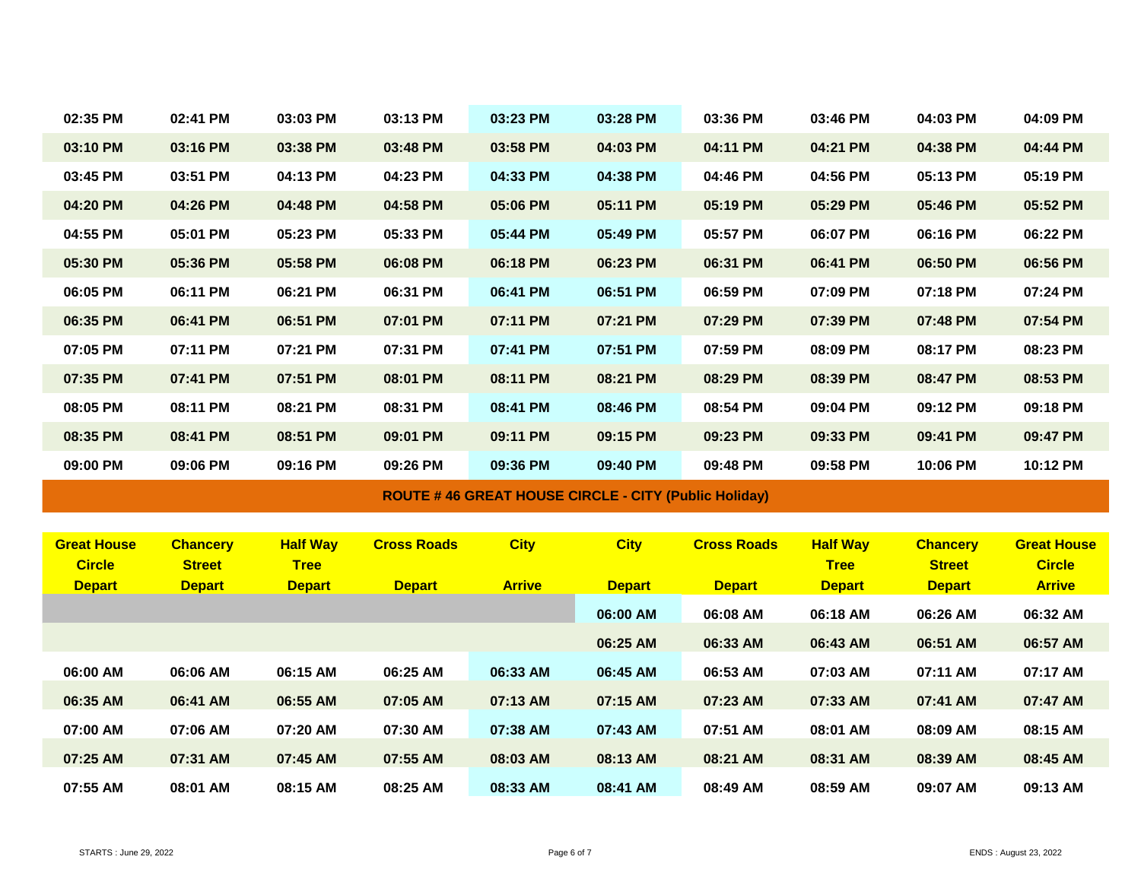| 02:35 PM           | 02:41 PM        | 03:03 PM        | 03:13 PM           | 03:23 PM      | 03:28 PM                                                    | 03:36 PM           | 03:46 PM        | 04:03 PM        | 04:09 PM           |
|--------------------|-----------------|-----------------|--------------------|---------------|-------------------------------------------------------------|--------------------|-----------------|-----------------|--------------------|
| 03:10 PM           | 03:16 PM        | 03:38 PM        | 03:48 PM           | 03:58 PM      | 04:03 PM                                                    | 04:11 PM           | 04:21 PM        | 04:38 PM        | 04:44 PM           |
| 03:45 PM           | 03:51 PM        | 04:13 PM        | 04:23 PM           | 04:33 PM      | 04:38 PM                                                    | 04:46 PM           | 04:56 PM        | 05:13 PM        | 05:19 PM           |
| 04:20 PM           | 04:26 PM        | 04:48 PM        | 04:58 PM           | 05:06 PM      | 05:11 PM                                                    | 05:19 PM           | 05:29 PM        | 05:46 PM        | 05:52 PM           |
| 04:55 PM           | 05:01 PM        | 05:23 PM        | 05:33 PM           | 05:44 PM      | 05:49 PM                                                    | 05:57 PM           | 06:07 PM        | 06:16 PM        | 06:22 PM           |
| 05:30 PM           | 05:36 PM        | 05:58 PM        | 06:08 PM           | 06:18 PM      | 06:23 PM                                                    | 06:31 PM           | 06:41 PM        | 06:50 PM        | 06:56 PM           |
| 06:05 PM           | 06:11 PM        | 06:21 PM        | 06:31 PM           | 06:41 PM      | 06:51 PM                                                    | 06:59 PM           | 07:09 PM        | 07:18 PM        | 07:24 PM           |
| 06:35 PM           | 06:41 PM        | 06:51 PM        | 07:01 PM           | 07:11 PM      | 07:21 PM                                                    | 07:29 PM           | 07:39 PM        | 07:48 PM        | 07:54 PM           |
| 07:05 PM           | 07:11 PM        | 07:21 PM        | 07:31 PM           | 07:41 PM      | 07:51 PM                                                    | 07:59 PM           | 08:09 PM        | 08:17 PM        | 08:23 PM           |
| 07:35 PM           | 07:41 PM        | 07:51 PM        | 08:01 PM           | 08:11 PM      | 08:21 PM                                                    | 08:29 PM           | 08:39 PM        | 08:47 PM        | 08:53 PM           |
| 08:05 PM           | 08:11 PM        | 08:21 PM        | 08:31 PM           | 08:41 PM      | 08:46 PM                                                    | 08:54 PM           | 09:04 PM        | 09:12 PM        | 09:18 PM           |
| 08:35 PM           | 08:41 PM        | 08:51 PM        | 09:01 PM           | 09:11 PM      | 09:15 PM                                                    | 09:23 PM           | 09:33 PM        | 09:41 PM        | 09:47 PM           |
| 09:00 PM           | 09:06 PM        | 09:16 PM        | 09:26 PM           | 09:36 PM      | 09:40 PM                                                    | 09:48 PM           | 09:58 PM        | 10:06 PM        | 10:12 PM           |
|                    |                 |                 |                    |               | <b>ROUTE #46 GREAT HOUSE CIRCLE - CITY (Public Holiday)</b> |                    |                 |                 |                    |
|                    |                 |                 |                    |               |                                                             |                    |                 |                 |                    |
| <b>Great House</b> | <b>Chancery</b> | <b>Half Way</b> | <b>Cross Roads</b> | <b>City</b>   | <b>City</b>                                                 | <b>Cross Roads</b> | <b>Half Way</b> | <b>Chancery</b> | <b>Great House</b> |
| <b>Circle</b>      | <b>Street</b>   | <b>Tree</b>     |                    |               |                                                             |                    | <b>Tree</b>     | <b>Street</b>   | <b>Circle</b>      |
| <b>Depart</b>      | <b>Depart</b>   | <b>Depart</b>   | <b>Depart</b>      | <b>Arrive</b> | <b>Depart</b>                                               | <b>Depart</b>      | <b>Depart</b>   | <b>Depart</b>   | <b>Arrive</b>      |
|                    |                 |                 |                    |               | 06:00 AM                                                    | 06:08 AM           | 06:18 AM        | 06:26 AM        | 06:32 AM           |
|                    |                 |                 |                    |               | 06:25 AM                                                    | 06:33 AM           | 06:43 AM        | 06:51 AM        | 06:57 AM           |
| 06:00 AM           | 06:06 AM        | 06:15 AM        | 06:25 AM           | 06:33 AM      | 06:45 AM                                                    | 06:53 AM           | 07:03 AM        | 07:11 AM        | 07:17 AM           |
| 06:35 AM           | 06:41 AM        | 06:55 AM        | 07:05 AM           | 07:13 AM      | 07:15 AM                                                    | 07:23 AM           | 07:33 AM        | 07:41 AM        | 07:47 AM           |
| 07:00 AM           | 07:06 AM        | 07:20 AM        | 07:30 AM           | 07:38 AM      | 07:43 AM                                                    | 07:51 AM           | 08:01 AM        | 08:09 AM        | 08:15 AM           |
| 07:25 AM           | 07:31 AM        | 07:45 AM        | 07:55 AM           | 08:03 AM      | 08:13 AM                                                    | 08:21 AM           | 08:31 AM        | 08:39 AM        | 08:45 AM           |
| 07:55 AM           | 08:01 AM        | 08:15 AM        | 08:25 AM           | 08:33 AM      | 08:41 AM                                                    | 08:49 AM           | 08:59 AM        | 09:07 AM        | 09:13 AM           |
|                    |                 |                 |                    |               |                                                             |                    |                 |                 |                    |